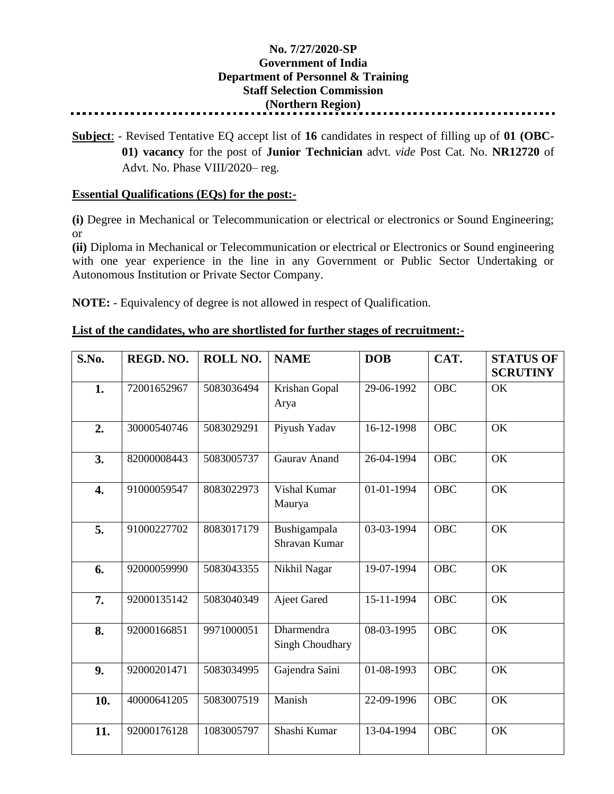## **No. 7/27/2020-SP Government of India Department of Personnel & Training Staff Selection Commission (Northern Region)**

**Subject**: - Revised Tentative EQ accept list of **16** candidates in respect of filling up of **01 (OBC-01) vacancy** for the post of **Junior Technician** advt. *vide* Post Cat. No. **NR12720** of Advt. No. Phase VIII/2020– reg.

## **Essential Qualifications (EQs) for the post:-**

**(i)** Degree in Mechanical or Telecommunication or electrical or electronics or Sound Engineering; or

**(ii)** Diploma in Mechanical or Telecommunication or electrical or Electronics or Sound engineering with one year experience in the line in any Government or Public Sector Undertaking or Autonomous Institution or Private Sector Company.

**NOTE:** - Equivalency of degree is not allowed in respect of Qualification.

## **List of the candidates, who are shortlisted for further stages of recruitment:-**

| S.No. | REGD. NO.   | ROLL NO.   | <b>NAME</b>                          | <b>DOB</b> | CAT.       | <b>STATUS OF</b><br><b>SCRUTINY</b> |
|-------|-------------|------------|--------------------------------------|------------|------------|-------------------------------------|
| 1.    | 72001652967 | 5083036494 | Krishan Gopal<br>Arya                | 29-06-1992 | <b>OBC</b> | OK                                  |
| 2.    | 30000540746 | 5083029291 | Piyush Yadav                         | 16-12-1998 | <b>OBC</b> | <b>OK</b>                           |
| 3.    | 82000008443 | 5083005737 | Gaurav Anand                         | 26-04-1994 | <b>OBC</b> | OK                                  |
| 4.    | 91000059547 | 8083022973 | Vishal Kumar<br>Maurya               | 01-01-1994 | <b>OBC</b> | OK                                  |
| 5.    | 91000227702 | 8083017179 | Bushigampala<br>Shravan Kumar        | 03-03-1994 | <b>OBC</b> | OK                                  |
| 6.    | 92000059990 | 5083043355 | Nikhil Nagar                         | 19-07-1994 | <b>OBC</b> | OK                                  |
| 7.    | 92000135142 | 5083040349 | <b>Ajeet Gared</b>                   | 15-11-1994 | <b>OBC</b> | <b>OK</b>                           |
| 8.    | 92000166851 | 9971000051 | Dharmendra<br><b>Singh Choudhary</b> | 08-03-1995 | <b>OBC</b> | OK                                  |
| 9.    | 92000201471 | 5083034995 | Gajendra Saini                       | 01-08-1993 | <b>OBC</b> | OK                                  |
| 10.   | 40000641205 | 5083007519 | Manish                               | 22-09-1996 | <b>OBC</b> | OK                                  |
| 11.   | 92000176128 | 1083005797 | Shashi Kumar                         | 13-04-1994 | <b>OBC</b> | OK                                  |